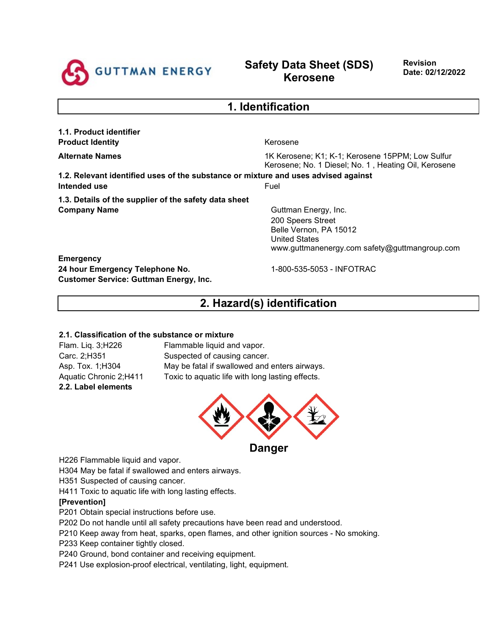

# **Safety Data Sheet (SDS) Kerosene**

**Revision Date: 02/12/2022**

| 1. Identification                                                                  |                                                                                                          |  |  |  |
|------------------------------------------------------------------------------------|----------------------------------------------------------------------------------------------------------|--|--|--|
| 1.1. Product identifier                                                            |                                                                                                          |  |  |  |
| <b>Product Identity</b>                                                            | Kerosene                                                                                                 |  |  |  |
| <b>Alternate Names</b>                                                             | 1K Kerosene; K1; K-1; Kerosene 15PPM; Low Sulfur<br>Kerosene; No. 1 Diesel; No. 1, Heating Oil, Kerosene |  |  |  |
| 1.2. Relevant identified uses of the substance or mixture and uses advised against |                                                                                                          |  |  |  |
| Intended use                                                                       | Fuel                                                                                                     |  |  |  |
| 1.3. Details of the supplier of the safety data sheet                              |                                                                                                          |  |  |  |
| <b>Company Name</b>                                                                | Guttman Energy, Inc.                                                                                     |  |  |  |
|                                                                                    | 200 Speers Street                                                                                        |  |  |  |
|                                                                                    | Belle Vernon, PA 15012                                                                                   |  |  |  |
|                                                                                    | <b>United States</b>                                                                                     |  |  |  |
|                                                                                    | www.guttmanenergy.com safety@guttmangroup.com                                                            |  |  |  |
| <b>Emergency</b>                                                                   |                                                                                                          |  |  |  |

**2. Hazard(s) identification**

**24 hour Emergency Telephone No.** 1-800-535-5053 - INFOTRAC

#### **2.1. Classification of the substance or mixture**

**Customer Service: Guttman Energy, Inc.**

**2.2. Label elements**

Flam. Liq. 3;H226 Flammable liquid and vapor. Carc. 2;H351 Suspected of causing cancer. Asp. Tox. 1;H304 May be fatal if swallowed and enters airways. Aquatic Chronic 2;H411 Toxic to aquatic life with long lasting effects.



H226 Flammable liquid and vapor.

H304 May be fatal if swallowed and enters airways.

H351 Suspected of causing cancer.

H411 Toxic to aquatic life with long lasting effects.

#### **[Prevention]**

P201 Obtain special instructions before use.

P202 Do not handle until all safety precautions have been read and understood.

P210 Keep away from heat, sparks, open flames, and other ignition sources - No smoking.

P233 Keep container tightly closed.

P240 Ground, bond container and receiving equipment.

P241 Use explosion-proof electrical, ventilating, light, equipment.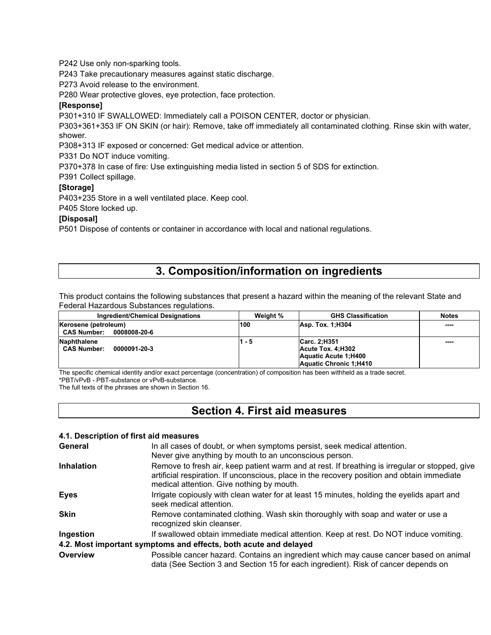P242 Use only non-sparking tools.

P243 Take precautionary measures against static discharge.

P273 Avoid release to the environment.

P280 Wear protective gloves, eye protection, face protection.

#### **[Response]**

P301+310 IF SWALLOWED: Immediately call a POISON CENTER, doctor or physician.

P303+361+353 IF ON SKIN (or hair): Remove, take off immediately all contaminated clothing. Rinse skin with water, shower.

P308+313 IF exposed or concerned: Get medical advice or attention.

P331 Do NOT induce vomiting.

P370+378 In case of fire: Use extinguishing media listed in section 5 of SDS for extinction.

P391 Collect spillage.

## **[Storage]**

P403+235 Store in a well ventilated place. Keep cool.

P405 Store locked up.

#### **[Disposal]**

P501 Dispose of contents or container in accordance with local and national regulations.

## **3. Composition/information on ingredients**

This product contains the following substances that present a hazard within the meaning of the relevant State and Federal Hazardous Substances regulations.

| Ingredient/Chemical Designations   | Weight % | <b>GHS Classification</b> | <b>Notes</b> |
|------------------------------------|----------|---------------------------|--------------|
| Kerosene (petroleum)               | 100      | Asp. Tox. 1:H304          | ----         |
| <b>CAS Number:</b><br>0008008-20-6 |          |                           |              |
| Naphthalene                        | 1 - 5    | Carc. 2:H351              | ----         |
| <b>CAS Number:</b><br>0000091-20-3 |          | Acute Tox. 4:H302         |              |
|                                    |          | Aquatic Acute 1:H400      |              |
|                                    |          | Aquatic Chronic 1:H410    |              |

The specific chemical identity and/or exact percentage (concentration) of composition has been withheld as a trade secret. \*PBT/vPvB - PBT-substance or vPvB-substance.

The full texts of the phrases are shown in Section 16.

## **Section 4. First aid measures**

#### **4.1. Description of first aid measures**

| General           | In all cases of doubt, or when symptoms persist, seek medical attention.<br>Never give anything by mouth to an unconscious person.                                                                                                         |
|-------------------|--------------------------------------------------------------------------------------------------------------------------------------------------------------------------------------------------------------------------------------------|
| <b>Inhalation</b> | Remove to fresh air, keep patient warm and at rest. If breathing is irregular or stopped, give<br>artificial respiration. If unconscious, place in the recovery position and obtain immediate<br>medical attention. Give nothing by mouth. |
| <b>Eyes</b>       | Irrigate copiously with clean water for at least 15 minutes, holding the eyelids apart and<br>seek medical attention.                                                                                                                      |
| <b>Skin</b>       | Remove contaminated clothing. Wash skin thoroughly with soap and water or use a<br>recognized skin cleanser.                                                                                                                               |
| Ingestion         | If swallowed obtain immediate medical attention. Keep at rest. Do NOT induce vomiting.                                                                                                                                                     |
|                   | 4.2. Most important symptoms and effects, both acute and delayed                                                                                                                                                                           |
| Overview          | Possible cancer hazard. Contains an ingredient which may cause cancer based on animal<br>data (See Section 3 and Section 15 for each ingredient). Risk of cancer depends on                                                                |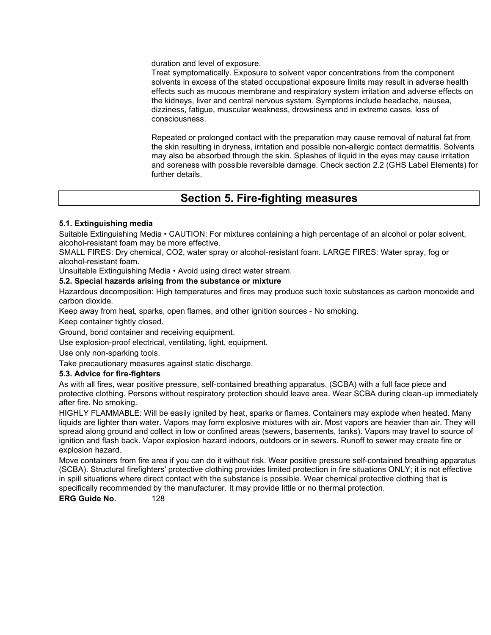duration and level of exposure.

Treat symptomatically. Exposure to solvent vapor concentrations from the component solvents in excess of the stated occupational exposure limits may result in adverse health effects such as mucous membrane and respiratory system irritation and adverse effects on the kidneys, liver and central nervous system. Symptoms include headache, nausea, dizziness, fatigue, muscular weakness, drowsiness and in extreme cases, loss of consciousness.

Repeated or prolonged contact with the preparation may cause removal of natural fat from the skin resulting in dryness, irritation and possible non-allergic contact dermatitis. Solvents may also be absorbed through the skin. Splashes of liquid in the eyes may cause irritation and soreness with possible reversible damage. Check section 2.2 (GHS Label Elements) for further details.

## **Section 5. Fire-fighting measures**

## **5.1. Extinguishing media**

Suitable Extinguishing Media • CAUTION: For mixtures containing a high percentage of an alcohol or polar solvent, alcohol-resistant foam may be more effective.

SMALL FIRES: Dry chemical, CO2, water spray or alcohol-resistant foam. LARGE FIRES: Water spray, fog or alcohol-resistant foam.

Unsuitable Extinguishing Media • Avoid using direct water stream.

#### **5.2. Special hazards arising from the substance or mixture**

Hazardous decomposition: High temperatures and fires may produce such toxic substances as carbon monoxide and carbon dioxide.

Keep away from heat, sparks, open flames, and other ignition sources - No smoking.

Keep container tightly closed.

Ground, bond container and receiving equipment.

Use explosion-proof electrical, ventilating, light, equipment.

Use only non-sparking tools.

Take precautionary measures against static discharge.

## **5.3. Advice for fire-fighters**

As with all fires, wear positive pressure, self-contained breathing apparatus, (SCBA) with a full face piece and protective clothing. Persons without respiratory protection should leave area. Wear SCBA during clean-up immediately after fire. No smoking.

HIGHLY FLAMMABLE: Will be easily ignited by heat, sparks or flames. Containers may explode when heated. Many liquids are lighter than water. Vapors may form explosive mixtures with air. Most vapors are heavier than air. They will spread along ground and collect in low or confined areas (sewers, basements, tanks). Vapors may travel to source of ignition and flash back. Vapor explosion hazard indoors, outdoors or in sewers. Runoff to sewer may create fire or explosion hazard.

Move containers from fire area if you can do it without risk. Wear positive pressure self-contained breathing apparatus (SCBA). Structural firefighters' protective clothing provides limited protection in fire situations ONLY; it is not effective in spill situations where direct contact with the substance is possible. Wear chemical protective clothing that is specifically recommended by the manufacturer. It may provide little or no thermal protection.

**ERG Guide No.** 128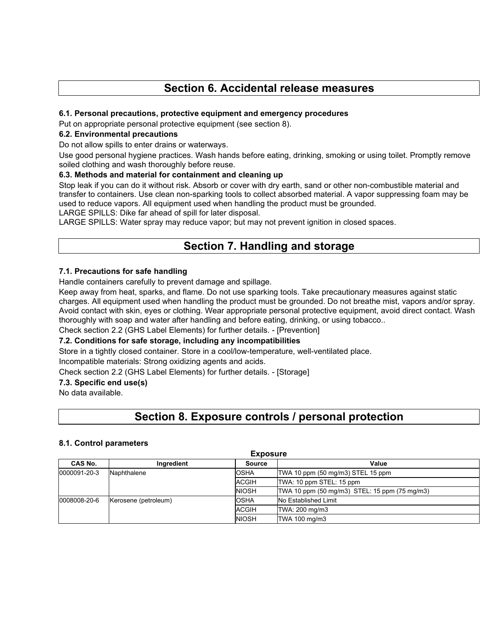# **Section 6. Accidental release measures**

#### **6.1. Personal precautions, protective equipment and emergency procedures**

Put on appropriate personal protective equipment (see section 8).

#### **6.2. Environmental precautions**

Do not allow spills to enter drains or waterways.

Use good personal hygiene practices. Wash hands before eating, drinking, smoking or using toilet. Promptly remove soiled clothing and wash thoroughly before reuse.

#### **6.3. Methods and material for containment and cleaning up**

Stop leak if you can do it without risk. Absorb or cover with dry earth, sand or other non-combustible material and transfer to containers. Use clean non-sparking tools to collect absorbed material. A vapor suppressing foam may be used to reduce vapors. All equipment used when handling the product must be grounded.

LARGE SPILLS: Dike far ahead of spill for later disposal.

LARGE SPILLS: Water spray may reduce vapor; but may not prevent ignition in closed spaces.

# **Section 7. Handling and storage**

## **7.1. Precautions for safe handling**

Handle containers carefully to prevent damage and spillage.

Keep away from heat, sparks, and flame. Do not use sparking tools. Take precautionary measures against static charges. All equipment used when handling the product must be grounded. Do not breathe mist, vapors and/or spray. Avoid contact with skin, eyes or clothing. Wear appropriate personal protective equipment, avoid direct contact. Wash thoroughly with soap and water after handling and before eating, drinking, or using tobacco..

## Check section 2.2 (GHS Label Elements) for further details. - [Prevention]

## **7.2. Conditions for safe storage, including any incompatibilities**

Store in a tightly closed container. Store in a cool/low-temperature, well-ventilated place.

Incompatible materials: Strong oxidizing agents and acids.

Check section 2.2 (GHS Label Elements) for further details. - [Storage]

#### **7.3. Specific end use(s)**

No data available.

## **Section 8. Exposure controls / personal protection**

## **8.1. Control parameters**

| <b>Exposure</b> |                      |              |                                               |  |  |
|-----------------|----------------------|--------------|-----------------------------------------------|--|--|
| CAS No.         | Ingredient           | Source       | Value                                         |  |  |
| 0000091-20-3    | Naphthalene          | <b>OSHA</b>  | TWA 10 ppm (50 mg/m3) STEL 15 ppm             |  |  |
|                 |                      |              | TWA: 10 ppm STEL: 15 ppm                      |  |  |
|                 |                      | <b>NIOSH</b> | TWA 10 ppm (50 mg/m3) STEL: 15 ppm (75 mg/m3) |  |  |
| 0008008-20-6    | Kerosene (petroleum) | <b>OSHA</b>  | No Established Limit                          |  |  |
|                 |                      | <b>ACGIH</b> | TWA: 200 mg/m3                                |  |  |
|                 |                      | <b>NIOSH</b> | TWA 100 mg/m3                                 |  |  |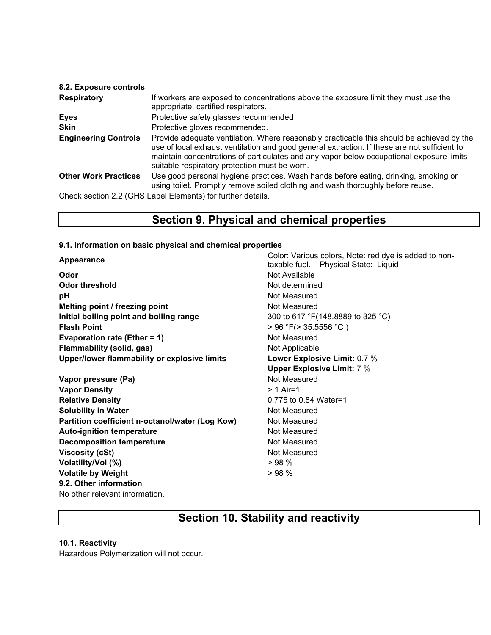| 8.2. Exposure controls      |                                                                                                                                                                                                                                                                                                                                        |
|-----------------------------|----------------------------------------------------------------------------------------------------------------------------------------------------------------------------------------------------------------------------------------------------------------------------------------------------------------------------------------|
| <b>Respiratory</b>          | If workers are exposed to concentrations above the exposure limit they must use the<br>appropriate, certified respirators.                                                                                                                                                                                                             |
| Eyes                        | Protective safety glasses recommended                                                                                                                                                                                                                                                                                                  |
| <b>Skin</b>                 | Protective gloves recommended.                                                                                                                                                                                                                                                                                                         |
| <b>Engineering Controls</b> | Provide adequate ventilation. Where reasonably practicable this should be achieved by the<br>use of local exhaust ventilation and good general extraction. If these are not sufficient to<br>maintain concentrations of particulates and any vapor below occupational exposure limits<br>suitable respiratory protection must be worn. |
| <b>Other Work Practices</b> | Use good personal hygiene practices. Wash hands before eating, drinking, smoking or<br>using toilet. Promptly remove soiled clothing and wash thoroughly before reuse.                                                                                                                                                                 |
|                             | Check section 2.2 (GHS Label Elements) for further details.                                                                                                                                                                                                                                                                            |

## **Section 9. Physical and chemical properties**

#### **9.1. Information on basic physical and chemical properties**

**Odor** Not Available **Odor threshold** Not determined **pH** Not Measured **Melting point / freezing point** Not Measured **Initial boiling point and boiling range 300 to 617 °F(148.8889 to 325 °C) Flash Point** > 96 °F(> 35.5556 °C ) **Evaporation rate (Ether = 1)** Not Measured **Flammability (solid, gas)** Not Applicable **Upper/lower flammability or explosive limits Lower Explosive Limit:** 0.7 %

**Vapor pressure (Pa)** Not Measured **Vapor Density**  $> 1$  Air=1 **Relative Density Contract 2.000 Maters 2.000 Maters 2.000 Maters 2.000 Maters 2.000 Maters 2.000 Maters 2.000 Maters 2.000 Maters 2.000 Maters 2.000 Maters 2.000 Maters 2.000 Maters 2.000 Maters 2.000 Maters 2.000 Mater Solubility in Water** Not Measured **Partition coefficient n-octanol/water (Log Kow)** Not Measured Auto-ignition temperature **Not Measured** Not Measured **Decomposition temperature** Not Measured **Viscosity (cSt)** Not Measured **Volatility/Vol (%)** > 98 % **Volatile by Weight**  $> 98 \%$ **9.2. Other information** No other relevant information.

**Appearance** Color: Various colors, Note: red dye is added to nontaxable fuel. Physical State: Liquid **Upper Explosive Limit:** 7 %

## **Section 10. Stability and reactivity**

## **10.1. Reactivity**

Hazardous Polymerization will not occur.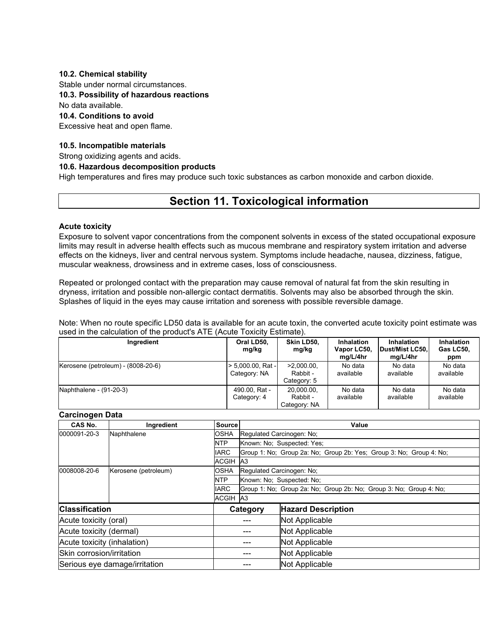#### **10.2. Chemical stability**

Stable under normal circumstances.

## **10.3. Possibility of hazardous reactions**

No data available.

#### **10.4. Conditions to avoid**

Excessive heat and open flame.

### **10.5. Incompatible materials**

Strong oxidizing agents and acids.

#### **10.6. Hazardous decomposition products**

High temperatures and fires may produce such toxic substances as carbon monoxide and carbon dioxide.

# **Section 11. Toxicological information**

#### **Acute toxicity**

Exposure to solvent vapor concentrations from the component solvents in excess of the stated occupational exposure limits may result in adverse health effects such as mucous membrane and respiratory system irritation and adverse effects on the kidneys, liver and central nervous system. Symptoms include headache, nausea, dizziness, fatigue, muscular weakness, drowsiness and in extreme cases, loss of consciousness.

Repeated or prolonged contact with the preparation may cause removal of natural fat from the skin resulting in dryness, irritation and possible non-allergic contact dermatitis. Solvents may also be absorbed through the skin. Splashes of liquid in the eyes may cause irritation and soreness with possible reversible damage.

Note: When no route specific LD50 data is available for an acute toxin, the converted acute toxicity point estimate was used in the calculation of the product's ATE (Acute Toxicity Estimate).

| Ingredient                         | Oral LD50.<br>mg/kg               | Skin LD50.<br>mg/kg                      | Inhalation<br>Vapor LC50,<br>ma/L/4hr | <b>Inhalation</b><br>Dust/Mist LC50.<br>mg/L/4hr | Inhalation<br>Gas LC50.<br>ppm |
|------------------------------------|-----------------------------------|------------------------------------------|---------------------------------------|--------------------------------------------------|--------------------------------|
| Kerosene (petroleum) - (8008-20-6) | > 5.000.00. Rat -<br>Category: NA | $>2.000.00$ .<br>Rabbit -<br>Category: 5 | No data<br>available                  | No data<br>available                             | No data<br>available           |
| Naphthalene - (91-20-3)            | 490.00. Rat -<br>Category: 4      | 20,000.00,<br>Rabbit -<br>Category: NA   | No data<br>available                  | No data<br>available                             | No data<br>available           |

#### **Carcinogen Data**

| CAS No.                     | Ingredient                    | <b>Source</b>   | Value                                                              |                                                                     |  |  |  |
|-----------------------------|-------------------------------|-----------------|--------------------------------------------------------------------|---------------------------------------------------------------------|--|--|--|
| 0000091-20-3                | Naphthalene                   | <b>OSHA</b>     | Regulated Carcinogen: No;                                          |                                                                     |  |  |  |
|                             |                               | <b>NTP</b>      |                                                                    | Known: No: Suspected: Yes:                                          |  |  |  |
|                             |                               | <b>IARC</b>     |                                                                    | Group 1: No; Group 2a: No; Group 2b: Yes; Group 3: No; Group 4: No; |  |  |  |
|                             |                               | ACGIH           | A <sub>3</sub>                                                     |                                                                     |  |  |  |
| 0008008-20-6                | Kerosene (petroleum)          | <b>OSHA</b>     |                                                                    | Regulated Carcinogen: No;                                           |  |  |  |
|                             |                               | <b>NTP</b>      |                                                                    | Known: No: Suspected: No:                                           |  |  |  |
|                             |                               | <b>IARC</b>     | Group 1: No: Group 2a: No: Group 2b: No: Group 3: No: Group 4: No: |                                                                     |  |  |  |
|                             |                               | <b>ACGIH A3</b> |                                                                    |                                                                     |  |  |  |
| <b>Classification</b>       |                               |                 | Category                                                           | <b>Hazard Description</b>                                           |  |  |  |
| Acute toxicity (oral)       |                               |                 |                                                                    | Not Applicable                                                      |  |  |  |
| Acute toxicity (dermal)     |                               |                 |                                                                    | Not Applicable                                                      |  |  |  |
| Acute toxicity (inhalation) |                               |                 |                                                                    | Not Applicable                                                      |  |  |  |
| Skin corrosion/irritation   |                               |                 | Not Applicable                                                     |                                                                     |  |  |  |
|                             | Serious eye damage/irritation |                 | Not Applicable                                                     |                                                                     |  |  |  |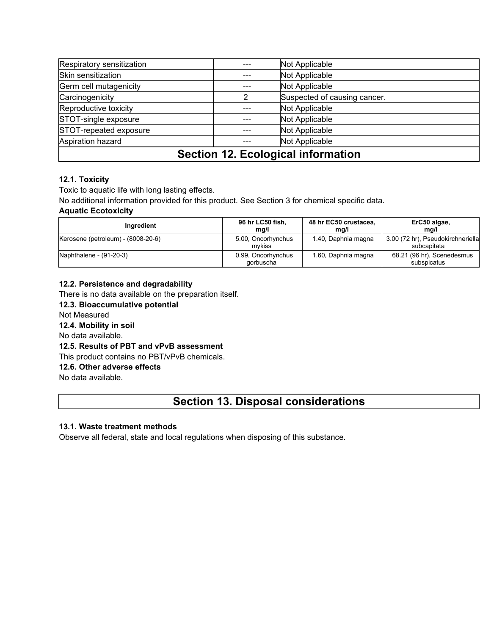| STOT-repeated exposure<br>Not Applicable<br>Aspiration hazard<br>Not Applicable |   |                              |  |  |
|---------------------------------------------------------------------------------|---|------------------------------|--|--|
| STOT-single exposure                                                            |   | Not Applicable               |  |  |
| Reproductive toxicity                                                           |   | Not Applicable               |  |  |
| Carcinogenicity                                                                 | າ | Suspected of causing cancer. |  |  |
| Germ cell mutagenicity                                                          |   | Not Applicable               |  |  |
| Skin sensitization                                                              |   | Not Applicable               |  |  |
| Respiratory sensitization                                                       |   | Not Applicable               |  |  |

## **12.1. Toxicity**

Toxic to aquatic life with long lasting effects.

No additional information provided for this product. See Section 3 for chemical specific data.

## **Aquatic Ecotoxicity**

| Ingredient                         | 96 hr LC50 fish,<br>mg/l        | 48 hr EC50 crustacea,<br>ma/l | ErC50 algae,<br>mg/l                             |
|------------------------------------|---------------------------------|-------------------------------|--------------------------------------------------|
| Kerosene (petroleum) - (8008-20-6) | 5.00, Oncorhynchus<br>mvkiss    | 1.40, Daphnia magna           | 3.00 (72 hr), Pseudokirchneriella<br>subcapitata |
| Naphthalene - (91-20-3)            | 0.99, Oncorhynchus<br>gorbuscha | 1.60, Daphnia magna           | 68.21 (96 hr), Scenedesmus<br>subspicatus        |

## **12.2. Persistence and degradability**

There is no data available on the preparation itself.

## **12.3. Bioaccumulative potential**

Not Measured

## **12.4. Mobility in soil**

No data available.

## **12.5. Results of PBT and vPvB assessment**

This product contains no PBT/vPvB chemicals.

## **12.6. Other adverse effects**

No data available.

## **Section 13. Disposal considerations**

## **13.1. Waste treatment methods**

Observe all federal, state and local regulations when disposing of this substance.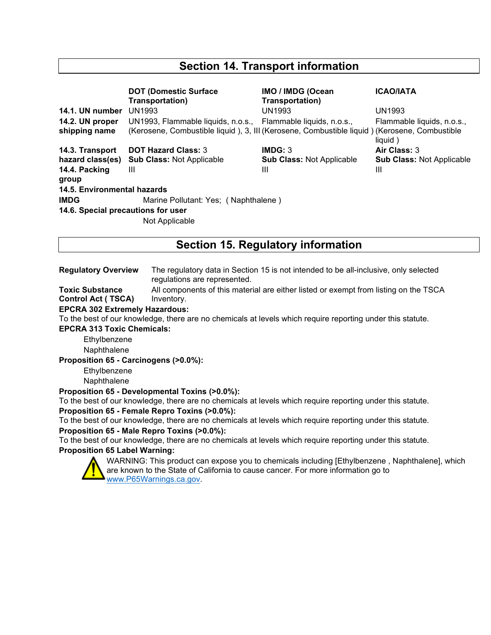# **Section 14. Transport information**

|                                    | <b>DOT (Domestic Surface)</b><br>Transportation)                                             | <b>IMO / IMDG (Ocean</b><br>Transportation) | <b>ICAO/IATA</b>                 |
|------------------------------------|----------------------------------------------------------------------------------------------|---------------------------------------------|----------------------------------|
| 14.1. UN number                    | UN1993                                                                                       | UN1993                                      | UN1993                           |
| 14.2. UN proper                    | UN1993, Flammable liquids, n.o.s., Flammable liquids, n.o.s.,                                |                                             | Flammable liquids, n.o.s.,       |
| shipping name                      | (Kerosene, Combustible liquid), 3, III (Kerosene, Combustible liquid) (Kerosene, Combustible |                                             | liquid)                          |
| 14.3. Transport                    | <b>DOT Hazard Class: 3</b>                                                                   | IMDG: 3                                     | Air Class: 3                     |
| hazard class(es)                   | <b>Sub Class: Not Applicable</b>                                                             | <b>Sub Class: Not Applicable</b>            | <b>Sub Class: Not Applicable</b> |
| 14.4. Packing                      | $\mathbf{III}$                                                                               | Ш                                           | Ш                                |
| group                              |                                                                                              |                                             |                                  |
| 14.5. Environmental hazards        |                                                                                              |                                             |                                  |
| <b>IMDG</b>                        | Marine Pollutant: Yes; (Naphthalene)                                                         |                                             |                                  |
| 14.6. Special precautions for user |                                                                                              |                                             |                                  |
|                                    | Not Applicable                                                                               |                                             |                                  |

# **Section 15. Regulatory information**

**Regulatory Overview** The regulatory data in Section 15 is not intended to be all-inclusive, only selected regulations are represented.

**Toxic Substance Control Act ( TSCA)** All components of this material are either listed or exempt from listing on the TSCA Inventory.

#### **EPCRA 302 Extremely Hazardous:**

To the best of our knowledge, there are no chemicals at levels which require reporting under this statute.

**EPCRA 313 Toxic Chemicals:**

Ethylbenzene Naphthalene

**Proposition 65 - Carcinogens (>0.0%):**

Ethylbenzene

**Naphthalene** 

**Proposition 65 - Developmental Toxins (>0.0%):**

To the best of our knowledge, there are no chemicals at levels which require reporting under this statute. **Proposition 65 - Female Repro Toxins (>0.0%):**

To the best of our knowledge, there are no chemicals at levels which require reporting under this statute.

**Proposition 65 - Male Repro Toxins (>0.0%):**

To the best of our knowledge, there are no chemicals at levels which require reporting under this statute.

## **Proposition 65 Label Warning:**



WARNING: This product can expose you to chemicals including [Ethylbenzene , Naphthalene], which are known to the State of California to cause cancer. For more information go to [www.P65Warnings.ca.gov.](http://www.p65warnings.ca.gov/)